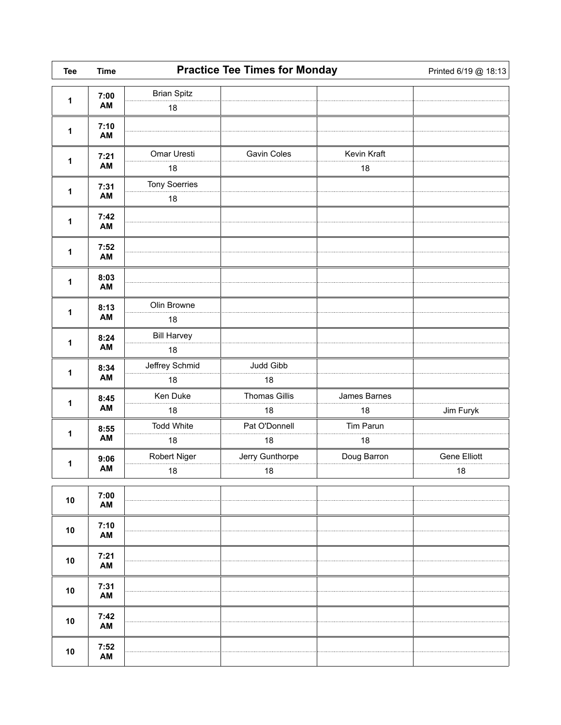| <b>Tee</b>   | <b>Time</b> | <b>Practice Tee Times for Monday</b> |                            |                    | Printed 6/19 @ 18:13 |
|--------------|-------------|--------------------------------------|----------------------------|--------------------|----------------------|
| 1            | 7:00        | <b>Brian Spitz</b>                   |                            |                    |                      |
|              | AM          | $18$                                 |                            |                    |                      |
| 1            | 7:10<br>AM  |                                      |                            |                    |                      |
| $\mathbf 1$  | 7:21<br>AM  | Omar Uresti<br>18                    | Gavin Coles                | Kevin Kraft<br>18  |                      |
| 1            | 7:31<br>AM  | Tony Soerries<br>$18$                |                            |                    |                      |
| $\mathbf{1}$ | 7:42<br>AM  |                                      |                            |                    |                      |
| 1            | 7:52<br>AM  |                                      |                            |                    |                      |
| 1            | 8:03<br>AM  |                                      |                            |                    |                      |
| 1            | 8:13<br>AM  | Olin Browne<br>18                    |                            |                    |                      |
| 1            | 8:24<br>AM  | <b>Bill Harvey</b><br>18             |                            |                    |                      |
| 1            | 8:34<br>AM  | Jeffrey Schmid<br>18                 | Judd Gibb<br>18            |                    |                      |
| 1            | 8:45<br>AM  | Ken Duke<br>18                       | <b>Thomas Gillis</b><br>18 | James Barnes<br>18 | Jim Furyk            |
| 1            | 8:55<br>AM  | <b>Todd White</b><br>18              | Pat O'Donnell<br>18        | Tim Parun<br>18    |                      |
| 1            | 9:06<br>AM  | Robert Niger<br>18                   | Jerry Gunthorpe<br>18      | Doug Barron        | Gene Elliott<br>18   |
| 10           | 7:00<br>AM  |                                      |                            |                    |                      |
| 10           | 7:10<br>AM  |                                      |                            |                    |                      |
| 10           | 7:21<br>AM  |                                      |                            |                    |                      |
| 10           | 7:31<br>AM  |                                      |                            |                    |                      |
| 10           | 7:42<br>AM  |                                      |                            |                    |                      |
| 10           | 7:52<br>AM  |                                      |                            |                    |                      |

 $\overline{\phantom{0}}$ 

 $\Gamma$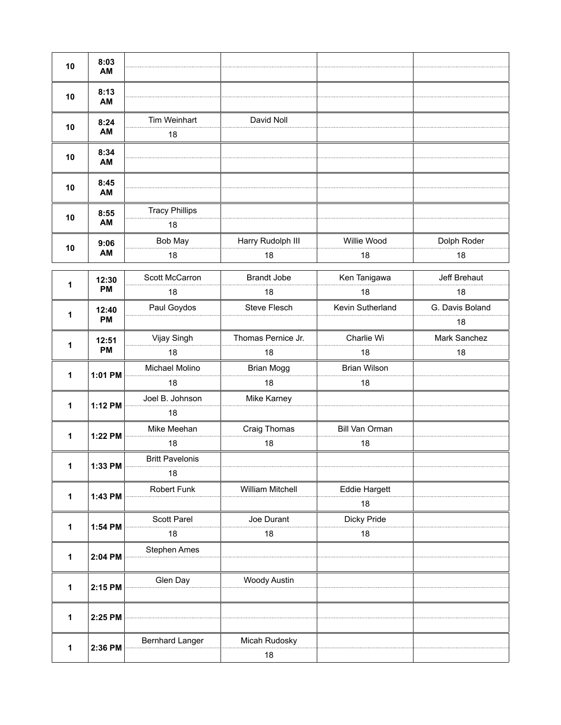| 10 | 8:03<br>AM         |                             |                     |                      |                 |
|----|--------------------|-----------------------------|---------------------|----------------------|-----------------|
| 10 | 8:13<br>AM         |                             |                     |                      |                 |
| 10 | 8:24<br>AM         | Tim Weinhart<br>18          | David Noll          |                      |                 |
| 10 | 8:34<br>AM         |                             |                     |                      |                 |
| 10 | 8:45<br>AM         |                             |                     |                      |                 |
| 10 | 8:55<br>AM         | <b>Tracy Phillips</b><br>18 |                     |                      |                 |
|    | 9:06               | Bob May                     | Harry Rudolph III   | Willie Wood          | Dolph Roder     |
| 10 | AM                 | 18                          | 18                  | 18                   | 18              |
|    | 12:30<br><b>PM</b> | Scott McCarron              | <b>Brandt Jobe</b>  | Ken Tanigawa         | Jeff Brehaut    |
| 1  |                    | 18                          | 18                  | 18                   | 18              |
|    | 12:40              | Paul Goydos                 | <b>Steve Flesch</b> | Kevin Sutherland     | G. Davis Boland |
| 1  | <b>PM</b>          |                             |                     |                      | 18              |
|    | 12:51<br><b>PM</b> | Vijay Singh                 | Thomas Pernice Jr.  | Charlie Wi           | Mark Sanchez    |
| 1  |                    | 18                          | 18                  | 18                   | 18              |
| 1  | 1:01 PM            | Michael Molino              | <b>Brian Mogg</b>   | <b>Brian Wilson</b>  |                 |
|    |                    | 18                          | 18                  | 18                   |                 |
| 1  | 1:12 PM            | Joel B. Johnson             | Mike Karney         |                      |                 |
|    |                    | 18                          |                     |                      |                 |
|    | 1:22 PM            | Mike Meehan                 | Craig Thomas        | Bill Van Orman       |                 |
| 1  |                    | 18                          | 18                  | 18                   |                 |
| 1  |                    | <b>Britt Pavelonis</b>      |                     |                      |                 |
|    | 1:33 PM            | 18                          |                     |                      |                 |
| 1  | 1:43 PM            | Robert Funk                 | William Mitchell    | <b>Eddie Hargett</b> |                 |
|    |                    |                             |                     | 18                   |                 |
| 1  | 1:54 PM            | Scott Parel                 | Joe Durant          | Dicky Pride          |                 |
|    |                    | 18                          | 18                  | 18                   |                 |
| 1  | 2:04 PM            | Stephen Ames                |                     |                      |                 |
| 1  | 2:15 PM            | Glen Day                    | <b>Woody Austin</b> |                      |                 |
| 1  | 2:25 PM            |                             |                     |                      |                 |
| 1  | 2:36 PM            | Bernhard Langer             | Micah Rudosky       |                      |                 |
|    |                    |                             | 18                  |                      |                 |